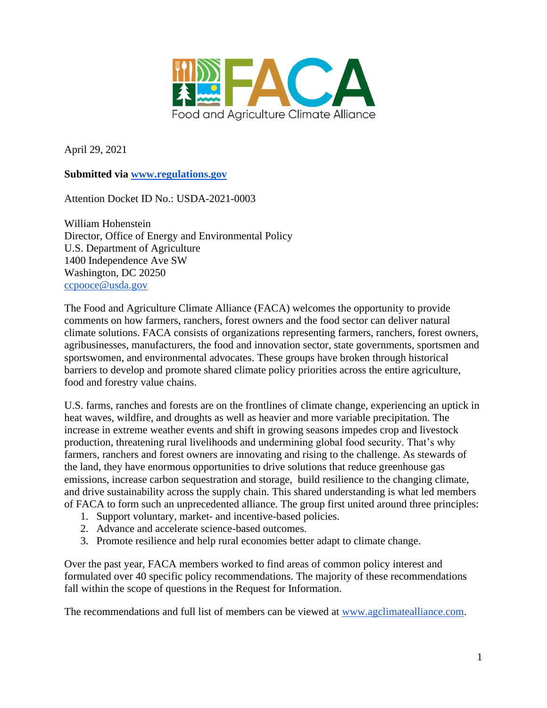

April 29, 2021

# **Submitted via [www.regulations.gov](http://www.regulations.gov/)**

Attention Docket ID No.: USDA-2021-0003

William Hohenstein Director, Office of Energy and Environmental Policy U.S. Department of Agriculture 1400 Independence Ave SW Washington, DC 20250 [ccpooce@usda.gov](mailto:ccpooce@usda.gov)

The Food and Agriculture Climate Alliance (FACA) welcomes the opportunity to provide comments on how farmers, ranchers, forest owners and the food sector can deliver natural climate solutions. FACA consists of organizations representing farmers, ranchers, forest owners, agribusinesses, manufacturers, the food and innovation sector, state governments, sportsmen and sportswomen, and environmental advocates. These groups have broken through historical barriers to develop and promote shared climate policy priorities across the entire agriculture, food and forestry value chains.

U.S. farms, ranches and forests are on the frontlines of climate change, experiencing an uptick in heat waves, wildfire, and droughts as well as heavier and more variable precipitation. The increase in extreme weather events and shift in growing seasons impedes crop and livestock production, threatening rural livelihoods and undermining global food security. That's why farmers, ranchers and forest owners are innovating and rising to the challenge. As stewards of the land, they have enormous opportunities to drive solutions that reduce greenhouse gas emissions, increase carbon sequestration and storage, build resilience to the changing climate, and drive sustainability across the supply chain. This shared understanding is what led members of FACA to form such an unprecedented alliance. The group first united around three principles:

- 1. Support voluntary, market- and incentive-based policies.
- 2. Advance and accelerate science-based outcomes.
- 3. Promote resilience and help rural economies better adapt to climate change.

Over the past year, FACA members worked to find areas of common policy interest and formulated over 40 specific policy recommendations. The majority of these recommendations fall within the scope of questions in the Request for Information.

The recommendations and full list of members can be viewed at [www.agclimatealliance.com.](http://www.agclimatealliance.com/)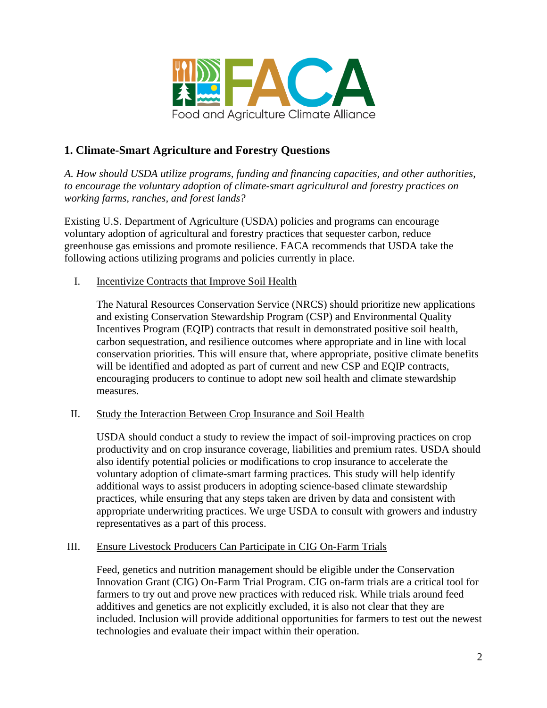

# **1. Climate-Smart Agriculture and Forestry Questions**

*A. How should USDA utilize programs, funding and financing capacities, and other authorities, to encourage the voluntary adoption of climate-smart agricultural and forestry practices on working farms, ranches, and forest lands?*

Existing U.S. Department of Agriculture (USDA) policies and programs can encourage voluntary adoption of agricultural and forestry practices that sequester carbon, reduce greenhouse gas emissions and promote resilience. FACA recommends that USDA take the following actions utilizing programs and policies currently in place.

I. Incentivize Contracts that Improve Soil Health

The Natural Resources Conservation Service (NRCS) should prioritize new applications and existing Conservation Stewardship Program (CSP) and Environmental Quality Incentives Program (EQIP) contracts that result in demonstrated positive soil health, carbon sequestration, and resilience outcomes where appropriate and in line with local conservation priorities. This will ensure that, where appropriate, positive climate benefits will be identified and adopted as part of current and new CSP and EQIP contracts, encouraging producers to continue to adopt new soil health and climate stewardship measures.

II. Study the Interaction Between Crop Insurance and Soil Health

USDA should conduct a study to review the impact of soil-improving practices on crop productivity and on crop insurance coverage, liabilities and premium rates. USDA should also identify potential policies or modifications to crop insurance to accelerate the voluntary adoption of climate-smart farming practices. This study will help identify additional ways to assist producers in adopting science-based climate stewardship practices, while ensuring that any steps taken are driven by data and consistent with appropriate underwriting practices. We urge USDA to consult with growers and industry representatives as a part of this process.

#### III. Ensure Livestock Producers Can Participate in CIG On-Farm Trials

Feed, genetics and nutrition management should be eligible under the Conservation Innovation Grant (CIG) On-Farm Trial Program. CIG on-farm trials are a critical tool for farmers to try out and prove new practices with reduced risk. While trials around feed additives and genetics are not explicitly excluded, it is also not clear that they are included. Inclusion will provide additional opportunities for farmers to test out the newest technologies and evaluate their impact within their operation.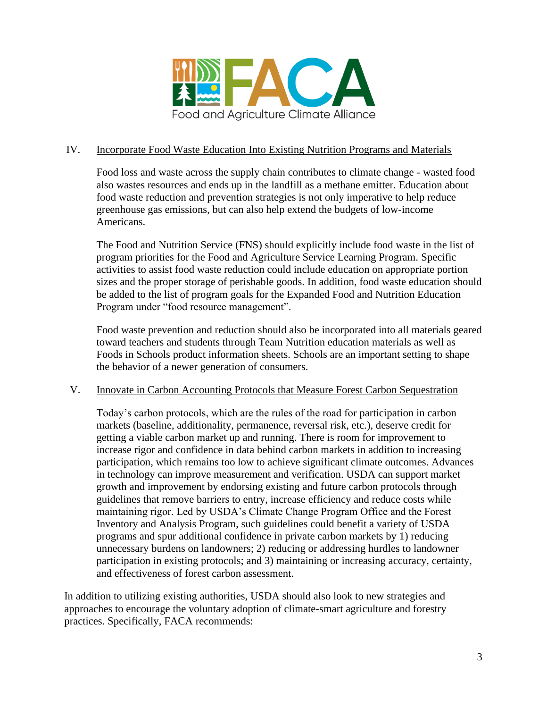

### IV. Incorporate Food Waste Education Into Existing Nutrition Programs and Materials

Food loss and waste across the supply chain contributes to climate change - wasted food also wastes resources and ends up in the landfill as a methane emitter. Education about food waste reduction and prevention strategies is not only imperative to help reduce greenhouse gas emissions, but can also help extend the budgets of low-income Americans.

The Food and Nutrition Service (FNS) should explicitly include food waste in the list of program priorities for the Food and Agriculture Service Learning Program. Specific activities to assist food waste reduction could include education on appropriate portion sizes and the proper storage of perishable goods. In addition, food waste education should be added to the list of program goals for the Expanded Food and Nutrition Education Program under "food resource management".

Food waste prevention and reduction should also be incorporated into all materials geared toward teachers and students through Team Nutrition education materials as well as Foods in Schools product information sheets. Schools are an important setting to shape the behavior of a newer generation of consumers.

#### V. Innovate in Carbon Accounting Protocols that Measure Forest Carbon Sequestration

Today's carbon protocols, which are the rules of the road for participation in carbon markets (baseline, additionality, permanence, reversal risk, etc.), deserve credit for getting a viable carbon market up and running. There is room for improvement to increase rigor and confidence in data behind carbon markets in addition to increasing participation, which remains too low to achieve significant climate outcomes. Advances in technology can improve measurement and verification. USDA can support market growth and improvement by endorsing existing and future carbon protocols through guidelines that remove barriers to entry, increase efficiency and reduce costs while maintaining rigor. Led by USDA's Climate Change Program Office and the Forest Inventory and Analysis Program, such guidelines could benefit a variety of USDA programs and spur additional confidence in private carbon markets by 1) reducing unnecessary burdens on landowners; 2) reducing or addressing hurdles to landowner participation in existing protocols; and 3) maintaining or increasing accuracy, certainty, and effectiveness of forest carbon assessment.

In addition to utilizing existing authorities, USDA should also look to new strategies and approaches to encourage the voluntary adoption of climate-smart agriculture and forestry practices. Specifically, FACA recommends: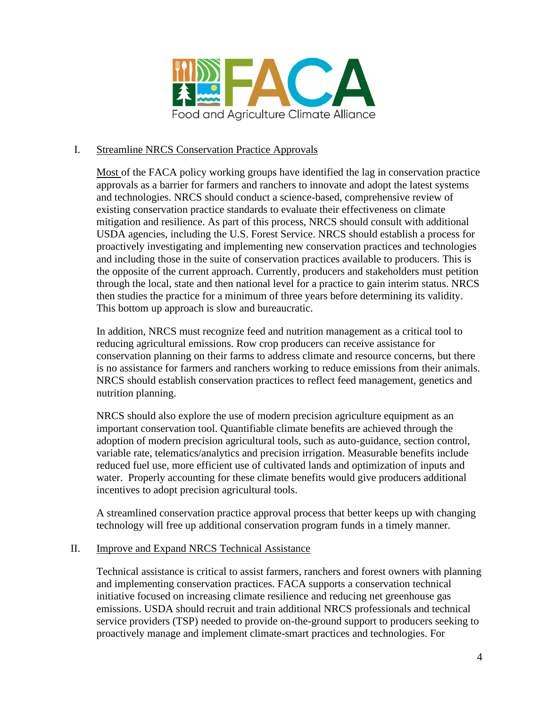

## I. Streamline NRCS Conservation Practice Approvals

Most of the FACA policy working groups have identified the lag in conservation practice approvals as a barrier for farmers and ranchers to innovate and adopt the latest systems and technologies. NRCS should conduct a science-based, comprehensive review of existing conservation practice standards to evaluate their effectiveness on climate mitigation and resilience. As part of this process, NRCS should consult with additional USDA agencies, including the U.S. Forest Service. NRCS should establish a process for proactively investigating and implementing new conservation practices and technologies and including those in the suite of conservation practices available to producers. This is the opposite of the current approach. Currently, producers and stakeholders must petition through the local, state and then national level for a practice to gain interim status. NRCS then studies the practice for a minimum of three years before determining its validity. This bottom up approach is slow and bureaucratic.

In addition, NRCS must recognize feed and nutrition management as a critical tool to reducing agricultural emissions. Row crop producers can receive assistance for conservation planning on their farms to address climate and resource concerns, but there is no assistance for farmers and ranchers working to reduce emissions from their animals. NRCS should establish conservation practices to reflect feed management, genetics and nutrition planning.

NRCS should also explore the use of modern precision agriculture equipment as an important conservation tool. Quantifiable climate benefits are achieved through the adoption of modern precision agricultural tools, such as auto-guidance, section control, variable rate, telematics/analytics and precision irrigation. Measurable benefits include reduced fuel use, more efficient use of cultivated lands and optimization of inputs and water. Properly accounting for these climate benefits would give producers additional incentives to adopt precision agricultural tools.

A streamlined conservation practice approval process that better keeps up with changing technology will free up additional conservation program funds in a timely manner.

#### II. Improve and Expand NRCS Technical Assistance

Technical assistance is critical to assist farmers, ranchers and forest owners with planning and implementing conservation practices. FACA supports a conservation technical initiative focused on increasing climate resilience and reducing net greenhouse gas emissions. USDA should recruit and train additional NRCS professionals and technical service providers (TSP) needed to provide on-the-ground support to producers seeking to proactively manage and implement climate-smart practices and technologies. For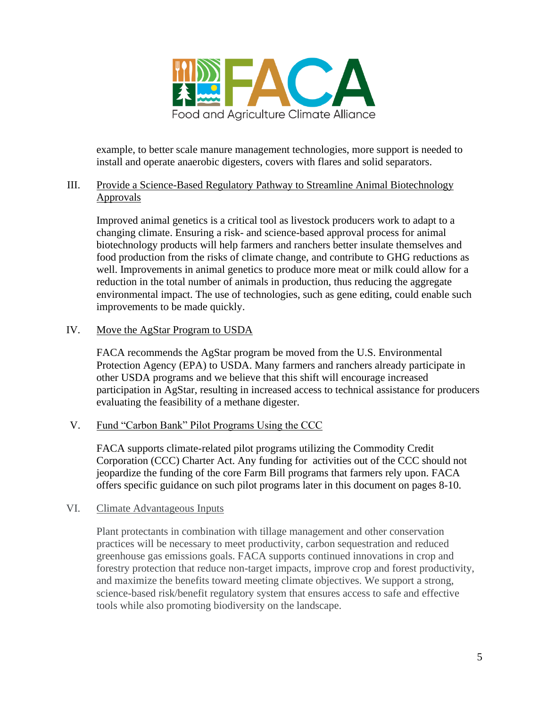

example, to better scale manure management technologies, more support is needed to install and operate anaerobic digesters, covers with flares and solid separators.

## III. Provide a Science-Based Regulatory Pathway to Streamline Animal Biotechnology Approvals

Improved animal genetics is a critical tool as livestock producers work to adapt to a changing climate. Ensuring a risk- and science-based approval process for animal biotechnology products will help farmers and ranchers better insulate themselves and food production from the risks of climate change, and contribute to GHG reductions as well. Improvements in animal genetics to produce more meat or milk could allow for a reduction in the total number of animals in production, thus reducing the aggregate environmental impact. The use of technologies, such as gene editing, could enable such improvements to be made quickly.

# IV. Move the AgStar Program to USDA

FACA recommends the AgStar program be moved from the U.S. Environmental Protection Agency (EPA) to USDA. Many farmers and ranchers already participate in other USDA programs and we believe that this shift will encourage increased participation in AgStar, resulting in increased access to technical assistance for producers evaluating the feasibility of a methane digester.

#### V. Fund "Carbon Bank" Pilot Programs Using the CCC

FACA supports climate-related pilot programs utilizing the Commodity Credit Corporation (CCC) Charter Act. Any funding for activities out of the CCC should not jeopardize the funding of the core Farm Bill programs that farmers rely upon. FACA offers specific guidance on such pilot programs later in this document on pages 8-10.

#### VI. Climate Advantageous Inputs

Plant protectants in combination with tillage management and other conservation practices will be necessary to meet productivity, carbon sequestration and reduced greenhouse gas emissions goals. FACA supports continued innovations in crop and forestry protection that reduce non-target impacts, improve crop and forest productivity, and maximize the benefits toward meeting climate objectives. We support a strong, science-based risk/benefit regulatory system that ensures access to safe and effective tools while also promoting biodiversity on the landscape.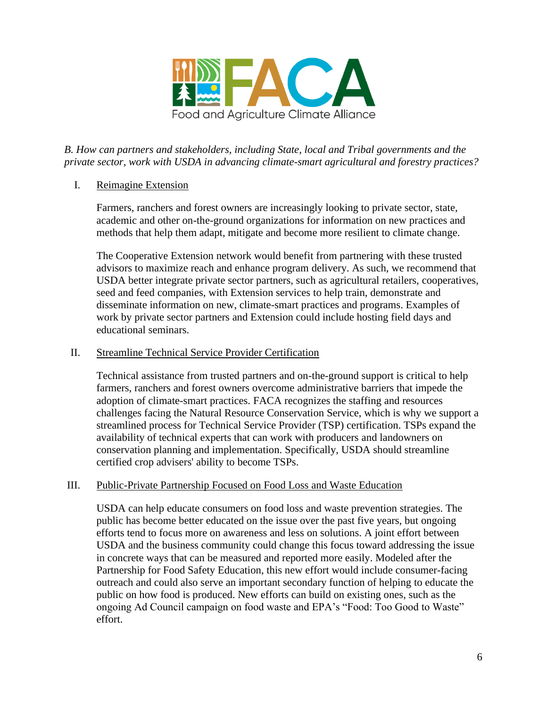

*B. How can partners and stakeholders, including State, local and Tribal governments and the private sector, work with USDA in advancing climate-smart agricultural and forestry practices?* 

## I. Reimagine Extension

Farmers, ranchers and forest owners are increasingly looking to private sector, state, academic and other on-the-ground organizations for information on new practices and methods that help them adapt, mitigate and become more resilient to climate change.

The Cooperative Extension network would benefit from partnering with these trusted advisors to maximize reach and enhance program delivery. As such, we recommend that USDA better integrate private sector partners, such as agricultural retailers, cooperatives, seed and feed companies, with Extension services to help train, demonstrate and disseminate information on new, climate-smart practices and programs. Examples of work by private sector partners and Extension could include hosting field days and educational seminars.

## II. Streamline Technical Service Provider Certification

Technical assistance from trusted partners and on-the-ground support is critical to help farmers, ranchers and forest owners overcome administrative barriers that impede the adoption of climate-smart practices. FACA recognizes the staffing and resources challenges facing the Natural Resource Conservation Service, which is why we support a streamlined process for Technical Service Provider (TSP) certification. TSPs expand the availability of technical experts that can work with producers and landowners on conservation planning and implementation. Specifically, USDA should streamline certified crop advisers' ability to become TSPs.

# III. Public-Private Partnership Focused on Food Loss and Waste Education

USDA can help educate consumers on food loss and waste prevention strategies. The public has become better educated on the issue over the past five years, but ongoing efforts tend to focus more on awareness and less on solutions. A joint effort between USDA and the business community could change this focus toward addressing the issue in concrete ways that can be measured and reported more easily. Modeled after the Partnership for Food Safety Education, this new effort would include consumer-facing outreach and could also serve an important secondary function of helping to educate the public on how food is produced. New efforts can build on existing ones, such as the ongoing Ad Council campaign on food waste and EPA's "Food: Too Good to Waste" effort.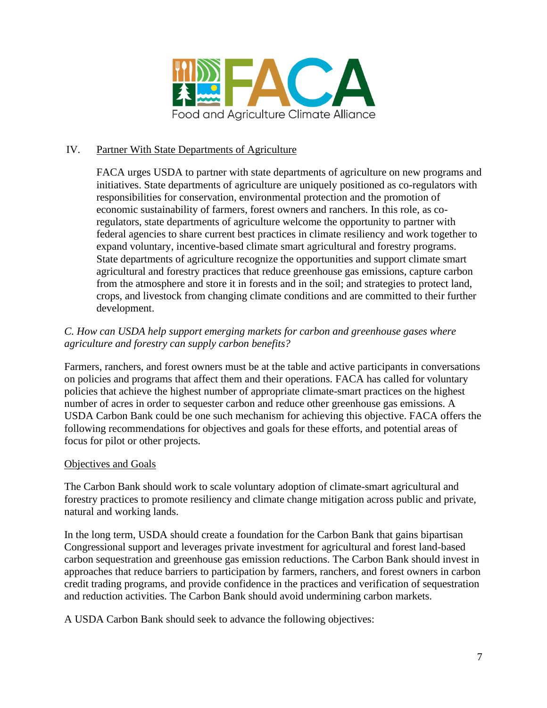

# IV. Partner With State Departments of Agriculture

FACA urges USDA to partner with state departments of agriculture on new programs and initiatives. State departments of agriculture are uniquely positioned as co-regulators with responsibilities for conservation, environmental protection and the promotion of economic sustainability of farmers, forest owners and ranchers. In this role, as coregulators, state departments of agriculture welcome the opportunity to partner with federal agencies to share current best practices in climate resiliency and work together to expand voluntary, incentive-based climate smart agricultural and forestry programs. State departments of agriculture recognize the opportunities and support climate smart agricultural and forestry practices that reduce greenhouse gas emissions, capture carbon from the atmosphere and store it in forests and in the soil; and strategies to protect land, crops, and livestock from changing climate conditions and are committed to their further development.

# *C. How can USDA help support emerging markets for carbon and greenhouse gases where agriculture and forestry can supply carbon benefits?*

Farmers, ranchers, and forest owners must be at the table and active participants in conversations on policies and programs that affect them and their operations. FACA has called for voluntary policies that achieve the highest number of appropriate climate-smart practices on the highest number of acres in order to sequester carbon and reduce other greenhouse gas emissions. A USDA Carbon Bank could be one such mechanism for achieving this objective. FACA offers the following recommendations for objectives and goals for these efforts, and potential areas of focus for pilot or other projects.

#### Objectives and Goals

The Carbon Bank should work to scale voluntary adoption of climate-smart agricultural and forestry practices to promote resiliency and climate change mitigation across public and private, natural and working lands.

In the long term, USDA should create a foundation for the Carbon Bank that gains bipartisan Congressional support and leverages private investment for agricultural and forest land-based carbon sequestration and greenhouse gas emission reductions. The Carbon Bank should invest in approaches that reduce barriers to participation by farmers, ranchers, and forest owners in carbon credit trading programs, and provide confidence in the practices and verification of sequestration and reduction activities. The Carbon Bank should avoid undermining carbon markets.

A USDA Carbon Bank should seek to advance the following objectives: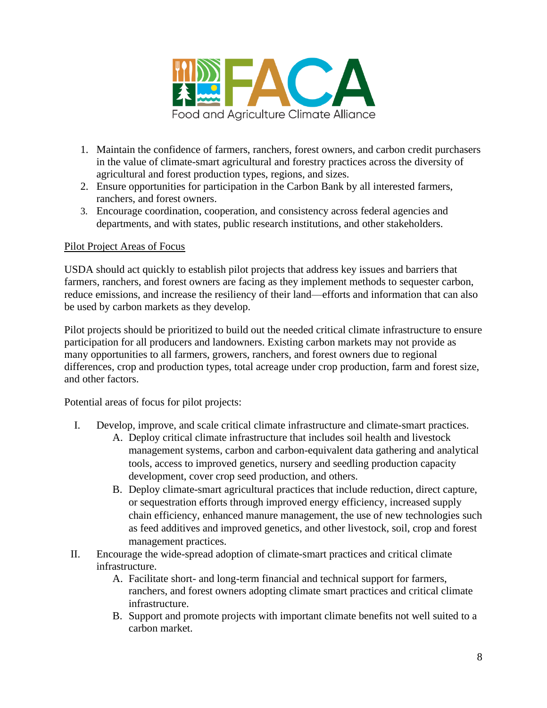

- 1. Maintain the confidence of farmers, ranchers, forest owners, and carbon credit purchasers in the value of climate-smart agricultural and forestry practices across the diversity of agricultural and forest production types, regions, and sizes.
- 2. Ensure opportunities for participation in the Carbon Bank by all interested farmers, ranchers, and forest owners.
- 3. Encourage coordination, cooperation, and consistency across federal agencies and departments, and with states, public research institutions, and other stakeholders.

# Pilot Project Areas of Focus

USDA should act quickly to establish pilot projects that address key issues and barriers that farmers, ranchers, and forest owners are facing as they implement methods to sequester carbon, reduce emissions, and increase the resiliency of their land—efforts and information that can also be used by carbon markets as they develop.

Pilot projects should be prioritized to build out the needed critical climate infrastructure to ensure participation for all producers and landowners. Existing carbon markets may not provide as many opportunities to all farmers, growers, ranchers, and forest owners due to regional differences, crop and production types, total acreage under crop production, farm and forest size, and other factors.

Potential areas of focus for pilot projects:

- I. Develop, improve, and scale critical climate infrastructure and climate-smart practices.
	- A. Deploy critical climate infrastructure that includes soil health and livestock management systems, carbon and carbon-equivalent data gathering and analytical tools, access to improved genetics, nursery and seedling production capacity development, cover crop seed production, and others.
	- B. Deploy climate-smart agricultural practices that include reduction, direct capture, or sequestration efforts through improved energy efficiency, increased supply chain efficiency, enhanced manure management, the use of new technologies such as feed additives and improved genetics, and other livestock, soil, crop and forest management practices.
- II. Encourage the wide-spread adoption of climate-smart practices and critical climate infrastructure.
	- A. Facilitate short- and long-term financial and technical support for farmers, ranchers, and forest owners adopting climate smart practices and critical climate infrastructure.
	- B. Support and promote projects with important climate benefits not well suited to a carbon market.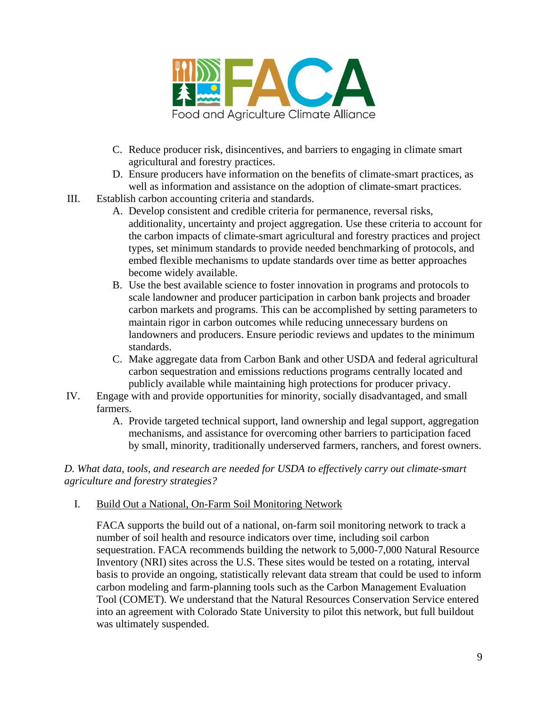

- C. Reduce producer risk, disincentives, and barriers to engaging in climate smart agricultural and forestry practices.
- D. Ensure producers have information on the benefits of climate-smart practices, as well as information and assistance on the adoption of climate-smart practices.
- III. Establish carbon accounting criteria and standards.
	- A. Develop consistent and credible criteria for permanence, reversal risks, additionality, uncertainty and project aggregation. Use these criteria to account for the carbon impacts of climate-smart agricultural and forestry practices and project types, set minimum standards to provide needed benchmarking of protocols, and embed flexible mechanisms to update standards over time as better approaches become widely available.
	- B. Use the best available science to foster innovation in programs and protocols to scale landowner and producer participation in carbon bank projects and broader carbon markets and programs. This can be accomplished by setting parameters to maintain rigor in carbon outcomes while reducing unnecessary burdens on landowners and producers. Ensure periodic reviews and updates to the minimum standards.
	- C. Make aggregate data from Carbon Bank and other USDA and federal agricultural carbon sequestration and emissions reductions programs centrally located and publicly available while maintaining high protections for producer privacy.
- IV. Engage with and provide opportunities for minority, socially disadvantaged, and small farmers.
	- A. Provide targeted technical support, land ownership and legal support, aggregation mechanisms, and assistance for overcoming other barriers to participation faced by small, minority, traditionally underserved farmers, ranchers, and forest owners.

*D. What data, tools, and research are needed for USDA to effectively carry out climate-smart agriculture and forestry strategies?*

I. Build Out a National, On-Farm Soil Monitoring Network

FACA supports the build out of a national, on-farm soil monitoring network to track a number of soil health and resource indicators over time, including soil carbon sequestration. FACA recommends building the network to 5,000-7,000 Natural Resource Inventory (NRI) sites across the U.S. These sites would be tested on a rotating, interval basis to provide an ongoing, statistically relevant data stream that could be used to inform carbon modeling and farm-planning tools such as the Carbon Management Evaluation Tool (COMET). We understand that the Natural Resources Conservation Service entered into an agreement with Colorado State University to pilot this network, but full buildout was ultimately suspended.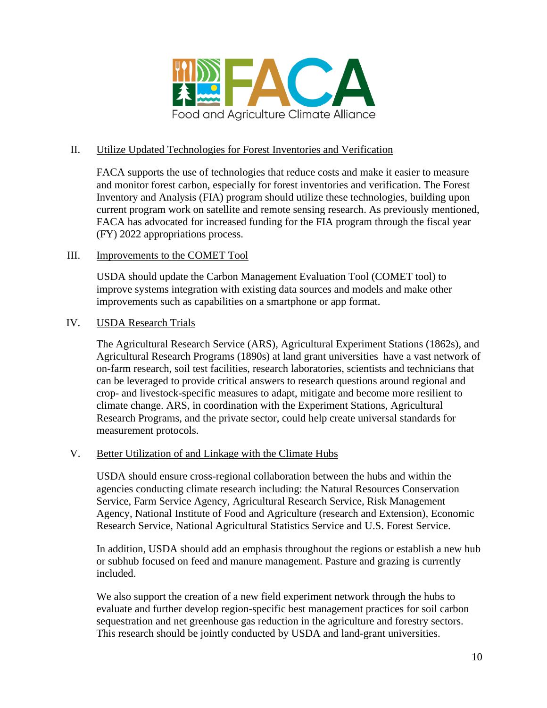

## II. Utilize Updated Technologies for Forest Inventories and Verification

FACA supports the use of technologies that reduce costs and make it easier to measure and monitor forest carbon, especially for forest inventories and verification. The Forest Inventory and Analysis (FIA) program should utilize these technologies, building upon current program work on satellite and remote sensing research. As previously mentioned, FACA has advocated for increased funding for the FIA program through the fiscal year (FY) 2022 appropriations process.

## III. Improvements to the COMET Tool

USDA should update the Carbon Management Evaluation Tool (COMET tool) to improve systems integration with existing data sources and models and make other improvements such as capabilities on a smartphone or app format.

#### IV. USDA Research Trials

The Agricultural Research Service (ARS), Agricultural Experiment Stations (1862s), and Agricultural Research Programs (1890s) at land grant universities have a vast network of on-farm research, soil test facilities, research laboratories, scientists and technicians that can be leveraged to provide critical answers to research questions around regional and crop- and livestock-specific measures to adapt, mitigate and become more resilient to climate change. ARS, in coordination with the Experiment Stations, Agricultural Research Programs, and the private sector, could help create universal standards for measurement protocols.

#### V. Better Utilization of and Linkage with the Climate Hubs

USDA should ensure cross-regional collaboration between the hubs and within the agencies conducting climate research including: the Natural Resources Conservation Service, Farm Service Agency, Agricultural Research Service, Risk Management Agency, National Institute of Food and Agriculture (research and Extension), Economic Research Service, National Agricultural Statistics Service and U.S. Forest Service.

In addition, USDA should add an emphasis throughout the regions or establish a new hub or subhub focused on feed and manure management. Pasture and grazing is currently included.

We also support the creation of a new field experiment network through the hubs to evaluate and further develop region-specific best management practices for soil carbon sequestration and net greenhouse gas reduction in the agriculture and forestry sectors. This research should be jointly conducted by USDA and land-grant universities.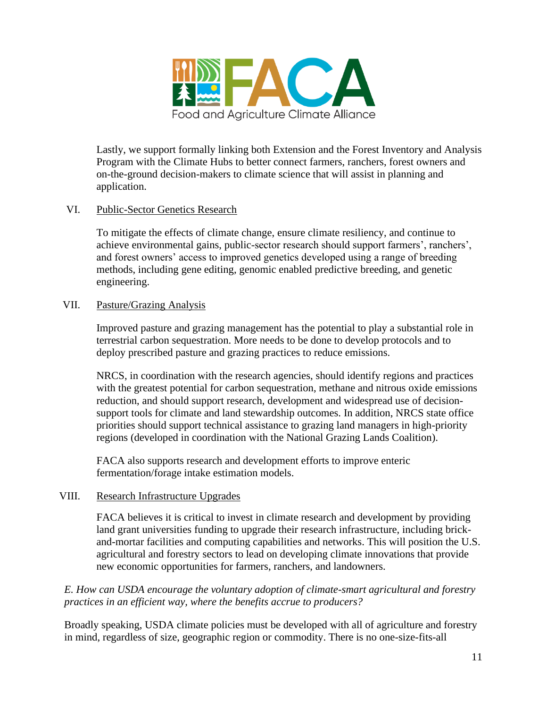

Lastly, we support formally linking both Extension and the Forest Inventory and Analysis Program with the Climate Hubs to better connect farmers, ranchers, forest owners and on-the-ground decision-makers to climate science that will assist in planning and application.

## VI. Public-Sector Genetics Research

To mitigate the effects of climate change, ensure climate resiliency, and continue to achieve environmental gains, public-sector research should support farmers', ranchers', and forest owners' access to improved genetics developed using a range of breeding methods, including gene editing, genomic enabled predictive breeding, and genetic engineering.

#### VII. Pasture/Grazing Analysis

Improved pasture and grazing management has the potential to play a substantial role in terrestrial carbon sequestration. More needs to be done to develop protocols and to deploy prescribed pasture and grazing practices to reduce emissions.

NRCS, in coordination with the research agencies, should identify regions and practices with the greatest potential for carbon sequestration, methane and nitrous oxide emissions reduction, and should support research, development and widespread use of decisionsupport tools for climate and land stewardship outcomes. In addition, NRCS state office priorities should support technical assistance to grazing land managers in high-priority regions (developed in coordination with the National Grazing Lands Coalition).

FACA also supports research and development efforts to improve enteric fermentation/forage intake estimation models.

#### VIII. Research Infrastructure Upgrades

FACA believes it is critical to invest in climate research and development by providing land grant universities funding to upgrade their research infrastructure, including brickand-mortar facilities and computing capabilities and networks. This will position the U.S. agricultural and forestry sectors to lead on developing climate innovations that provide new economic opportunities for farmers, ranchers, and landowners.

## *E. How can USDA encourage the voluntary adoption of climate-smart agricultural and forestry practices in an efficient way, where the benefits accrue to producers?*

Broadly speaking, USDA climate policies must be developed with all of agriculture and forestry in mind, regardless of size, geographic region or commodity. There is no one-size-fits-all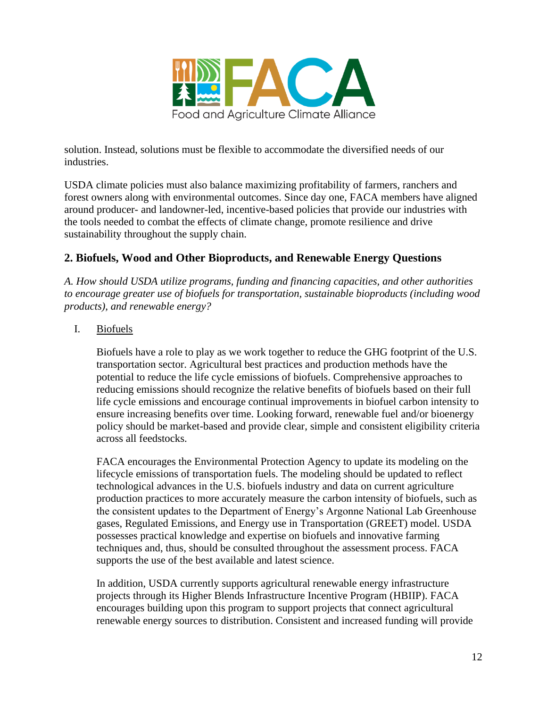

solution. Instead, solutions must be flexible to accommodate the diversified needs of our industries.

USDA climate policies must also balance maximizing profitability of farmers, ranchers and forest owners along with environmental outcomes. Since day one, FACA members have aligned around producer- and landowner-led, incentive-based policies that provide our industries with the tools needed to combat the effects of climate change, promote resilience and drive sustainability throughout the supply chain.

# **2. Biofuels, Wood and Other Bioproducts, and Renewable Energy Questions**

*A. How should USDA utilize programs, funding and financing capacities, and other authorities to encourage greater use of biofuels for transportation, sustainable bioproducts (including wood products), and renewable energy?*

# I. Biofuels

Biofuels have a role to play as we work together to reduce the GHG footprint of the U.S. transportation sector. Agricultural best practices and production methods have the potential to reduce the life cycle emissions of biofuels. Comprehensive approaches to reducing emissions should recognize the relative benefits of biofuels based on their full life cycle emissions and encourage continual improvements in biofuel carbon intensity to ensure increasing benefits over time. Looking forward, renewable fuel and/or bioenergy policy should be market-based and provide clear, simple and consistent eligibility criteria across all feedstocks.

FACA encourages the Environmental Protection Agency to update its modeling on the lifecycle emissions of transportation fuels. The modeling should be updated to reflect technological advances in the U.S. biofuels industry and data on current agriculture production practices to more accurately measure the carbon intensity of biofuels, such as the consistent updates to the Department of Energy's Argonne National Lab Greenhouse gases, Regulated Emissions, and Energy use in Transportation (GREET) model. USDA possesses practical knowledge and expertise on biofuels and innovative farming techniques and, thus, should be consulted throughout the assessment process. FACA supports the use of the best available and latest science.

In addition, USDA currently supports agricultural renewable energy infrastructure projects through its Higher Blends Infrastructure Incentive Program (HBIIP). FACA encourages building upon this program to support projects that connect agricultural renewable energy sources to distribution. Consistent and increased funding will provide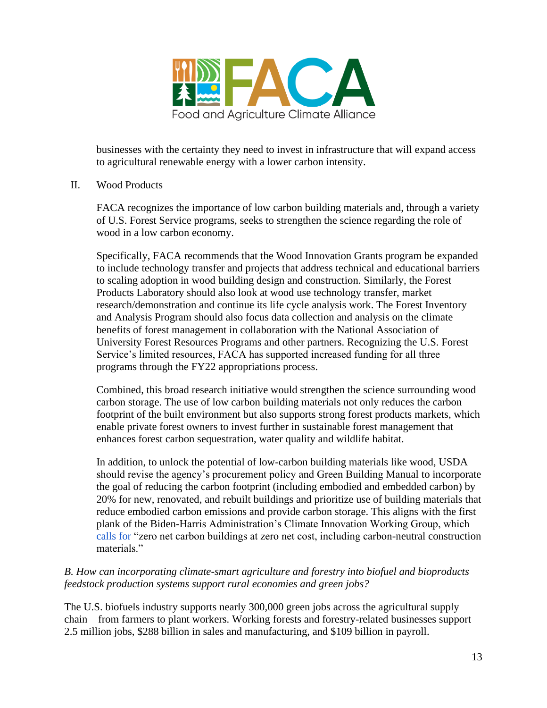

businesses with the certainty they need to invest in infrastructure that will expand access to agricultural renewable energy with a lower carbon intensity.

## II. Wood Products

FACA recognizes the importance of low carbon building materials and, through a variety of U.S. Forest Service programs, seeks to strengthen the science regarding the role of wood in a low carbon economy.

Specifically, FACA recommends that the Wood Innovation Grants program be expanded to include technology transfer and projects that address technical and educational barriers to scaling adoption in wood building design and construction. Similarly, the Forest Products Laboratory should also look at wood use technology transfer, market research/demonstration and continue its life cycle analysis work. The Forest Inventory and Analysis Program should also focus data collection and analysis on the climate benefits of forest management in collaboration with the National Association of University Forest Resources Programs and other partners. Recognizing the U.S. Forest Service's limited resources, FACA has supported increased funding for all three programs through the FY22 appropriations process.

Combined, this broad research initiative would strengthen the science surrounding wood carbon storage. The use of low carbon building materials not only reduces the carbon footprint of the built environment but also supports strong forest products markets, which enable private forest owners to invest further in sustainable forest management that enhances forest carbon sequestration, water quality and wildlife habitat.

In addition, to unlock the potential of low-carbon building materials like wood, USDA should revise the agency's procurement policy and Green Building Manual to incorporate the goal of reducing the carbon footprint (including embodied and embedded carbon) by 20% for new, renovated, and rebuilt buildings and prioritize use of building materials that reduce embodied carbon emissions and provide carbon storage. This aligns with the first plank of the Biden-Harris Administration's Climate Innovation Working Group, whic[h](https://www.whitehouse.gov/briefing-room/statements-releases/2021/02/11/biden-harris-administration-launches-american-innovation-effort-to-create-jobs-and-tackle-the-climate-crisis/) [calls for](https://www.whitehouse.gov/briefing-room/statements-releases/2021/02/11/biden-harris-administration-launches-american-innovation-effort-to-create-jobs-and-tackle-the-climate-crisis/) "zero net carbon buildings at zero net cost, including carbon-neutral construction materials."

# *B. How can incorporating climate-smart agriculture and forestry into biofuel and bioproducts feedstock production systems support rural economies and green jobs?*

The U.S. biofuels industry supports nearly 300,000 green jobs across the agricultural supply chain – from farmers to plant workers. Working forests and forestry-related businesses support 2.5 million jobs, \$288 billion in sales and manufacturing, and \$109 billion in payroll.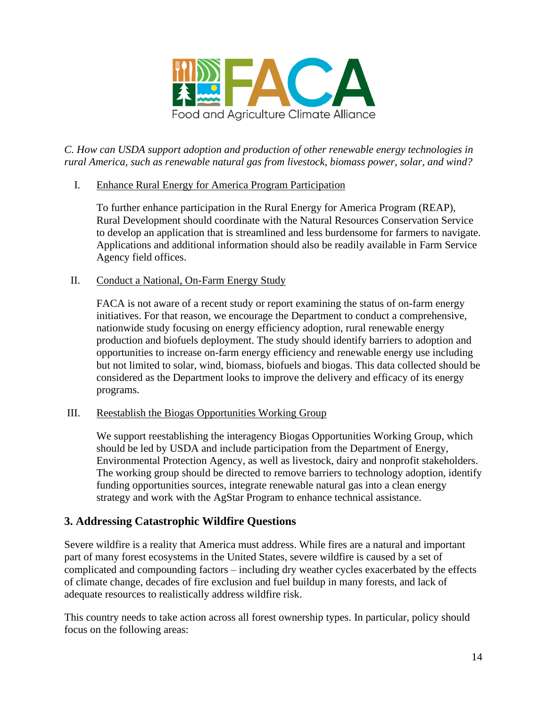

*C. How can USDA support adoption and production of other renewable energy technologies in rural America, such as renewable natural gas from livestock, biomass power, solar, and wind?*

I. Enhance Rural Energy for America Program Participation

To further enhance participation in the Rural Energy for America Program (REAP), Rural Development should coordinate with the Natural Resources Conservation Service to develop an application that is streamlined and less burdensome for farmers to navigate. Applications and additional information should also be readily available in Farm Service Agency field offices.

II. Conduct a National, On-Farm Energy Study

FACA is not aware of a recent study or report examining the status of on-farm energy initiatives. For that reason, we encourage the Department to conduct a comprehensive, nationwide study focusing on energy efficiency adoption, rural renewable energy production and biofuels deployment. The study should identify barriers to adoption and opportunities to increase on-farm energy efficiency and renewable energy use including but not limited to solar, wind, biomass, biofuels and biogas. This data collected should be considered as the Department looks to improve the delivery and efficacy of its energy programs.

III. Reestablish the Biogas Opportunities Working Group

We support reestablishing the interagency Biogas Opportunities Working Group, which should be led by USDA and include participation from the Department of Energy, Environmental Protection Agency, as well as livestock, dairy and nonprofit stakeholders. The working group should be directed to remove barriers to technology adoption, identify funding opportunities sources, integrate renewable natural gas into a clean energy strategy and work with the AgStar Program to enhance technical assistance.

# **3. Addressing Catastrophic Wildfire Questions**

Severe wildfire is a reality that America must address. While fires are a natural and important part of many forest ecosystems in the United States, severe wildfire is caused by a set of complicated and compounding factors – including dry weather cycles exacerbated by the effects of climate change, decades of fire exclusion and fuel buildup in many forests, and lack of adequate resources to realistically address wildfire risk.

This country needs to take action across all forest ownership types. In particular, policy should focus on the following areas: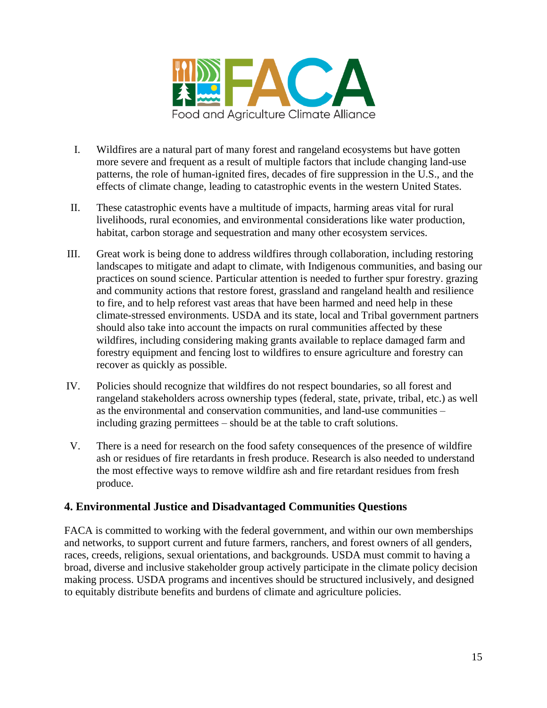

- I. Wildfires are a natural part of many forest and rangeland ecosystems but have gotten more severe and frequent as a result of multiple factors that include changing land-use patterns, the role of human-ignited fires, decades of fire suppression in the U.S., and the effects of climate change, leading to catastrophic events in the western United States.
- II. These catastrophic events have a multitude of impacts, harming areas vital for rural livelihoods, rural economies, and environmental considerations like water production, habitat, carbon storage and sequestration and many other ecosystem services.
- III. Great work is being done to address wildfires through collaboration, including restoring landscapes to mitigate and adapt to climate, with Indigenous communities, and basing our practices on sound science. Particular attention is needed to further spur forestry. grazing and community actions that restore forest, grassland and rangeland health and resilience to fire, and to help reforest vast areas that have been harmed and need help in these climate-stressed environments. USDA and its state, local and Tribal government partners should also take into account the impacts on rural communities affected by these wildfires, including considering making grants available to replace damaged farm and forestry equipment and fencing lost to wildfires to ensure agriculture and forestry can recover as quickly as possible.
- IV. Policies should recognize that wildfires do not respect boundaries, so all forest and rangeland stakeholders across ownership types (federal, state, private, tribal, etc.) as well as the environmental and conservation communities, and land-use communities – including grazing permittees – should be at the table to craft solutions.
- V. There is a need for research on the food safety consequences of the presence of wildfire ash or residues of fire retardants in fresh produce. Research is also needed to understand the most effective ways to remove wildfire ash and fire retardant residues from fresh produce.

# **4. Environmental Justice and Disadvantaged Communities Questions**

FACA is committed to working with the federal government, and within our own memberships and networks, to support current and future farmers, ranchers, and forest owners of all genders, races, creeds, religions, sexual orientations, and backgrounds. USDA must commit to having a broad, diverse and inclusive stakeholder group actively participate in the climate policy decision making process. USDA programs and incentives should be structured inclusively, and designed to equitably distribute benefits and burdens of climate and agriculture policies.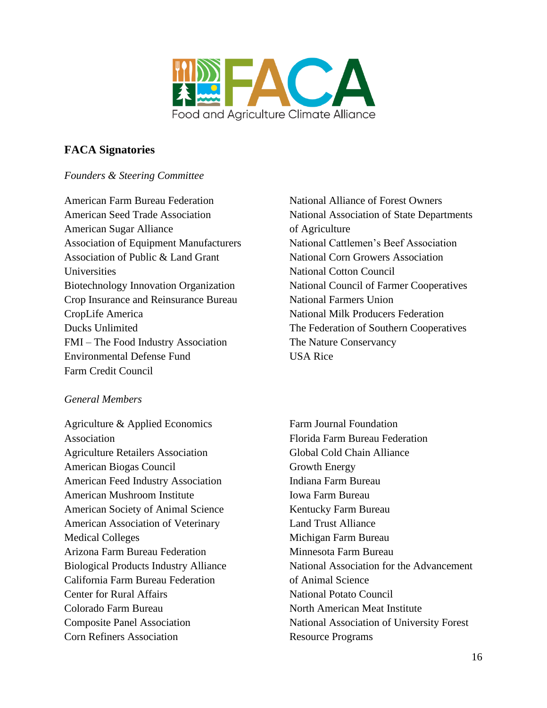

# **FACA Signatories**

## *Founders & Steering Committee*

American Farm Bureau Federation American Seed Trade Association American Sugar Alliance Association of Equipment Manufacturers Association of Public & Land Grant Universities Biotechnology Innovation Organization Crop Insurance and Reinsurance Bureau CropLife America Ducks Unlimited FMI – The Food Industry Association Environmental Defense Fund Farm Credit Council

# *General Members*

Agriculture & Applied Economics Association Agriculture Retailers Association American Biogas Council American Feed Industry Association American Mushroom Institute American Society of Animal Science American Association of Veterinary Medical Colleges Arizona Farm Bureau Federation Biological Products Industry Alliance California Farm Bureau Federation Center for Rural Affairs Colorado Farm Bureau Composite Panel Association Corn Refiners Association

National Alliance of Forest Owners National Association of State Departments of Agriculture National Cattlemen's Beef Association National Corn Growers Association National Cotton Council National Council of Farmer Cooperatives National Farmers Union National Milk Producers Federation The Federation of Southern Cooperatives The Nature Conservancy USA Rice

Farm Journal Foundation Florida Farm Bureau Federation Global Cold Chain Alliance Growth Energy Indiana Farm Bureau Iowa Farm Bureau Kentucky Farm Bureau Land Trust Alliance Michigan Farm Bureau Minnesota Farm Bureau National Association for the Advancement of Animal Science National Potato Council North American Meat Institute National Association of University Forest Resource Programs